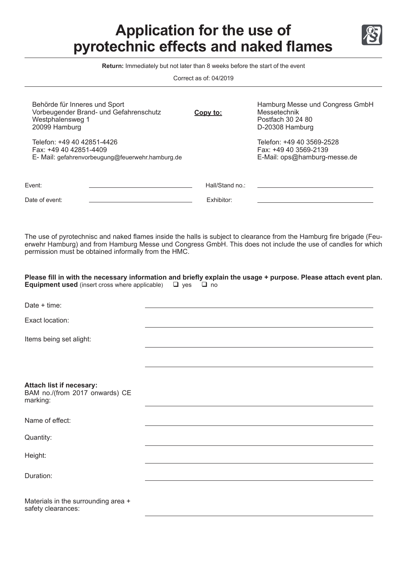## **Application for the use of pyrotechnic effects and naked flames**



Correct as of: 04/2019

| Behörde für Inneres und Sport<br>Vorbeugender Brand- und Gefahrenschutz<br>Westphalensweg 1<br>20099 Hamburg<br>Telefon: +49 40 42851-4426<br>Fax: +49 40 42851-4409<br>E- Mail: gefahrenvorbeugung@feuerwehr.hamburg.de | Copy to:                             | Hamburg Messe und Congress GmbH<br>Messetechnik<br>Postfach 30 24 80<br>D-20308 Hamburg<br>Telefon: +49 40 3569-2528<br>Fax: +49 40 3569-2139<br>E-Mail: ops@hamburg-messe.de |
|--------------------------------------------------------------------------------------------------------------------------------------------------------------------------------------------------------------------------|--------------------------------------|-------------------------------------------------------------------------------------------------------------------------------------------------------------------------------|
| Event:<br>Date of event:                                                                                                                                                                                                 | Hall/Stand no.:<br><b>Exhibitor:</b> |                                                                                                                                                                               |

The use of pyrotechnisc and naked flames inside the halls is subject to clearance from the Hamburg fire brigade (Feuerwehr Hamburg) and from Hamburg Messe und Congress GmbH. This does not include the use of candles for which permission must be obtained informally from the HMC.

**Please fill in with the necessary information and briefly explain the usage + purpose. Please attach event plan. Equipment used** (insert cross where applicable)  $\Box$  yes  $\Box$  no

| Date $+$ time:                                                         |  |
|------------------------------------------------------------------------|--|
| Exact location:                                                        |  |
| Items being set alight:                                                |  |
|                                                                        |  |
|                                                                        |  |
| Attach list if necesary:<br>BAM no./(from 2017 onwards) CE<br>marking: |  |
| Name of effect:                                                        |  |
| Quantity:                                                              |  |
| Height:                                                                |  |
| Duration:                                                              |  |
|                                                                        |  |
| Materials in the surrounding area +<br>safety clearances:              |  |